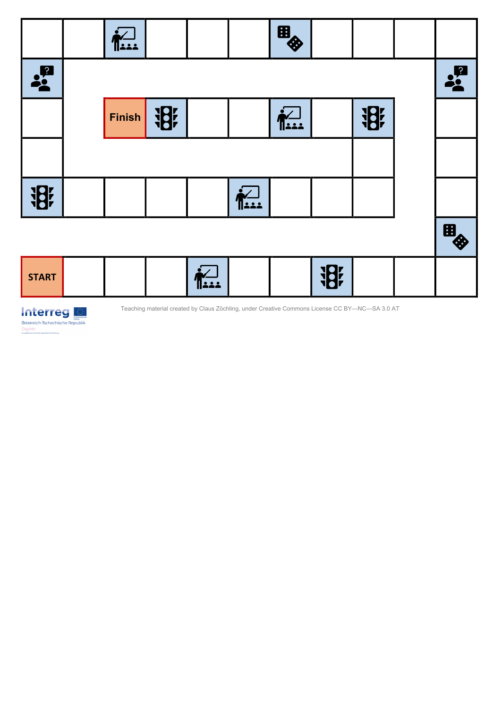|               | <b>Exa</b>    |          |       |                       | 8    |          |            |               |
|---------------|---------------|----------|-------|-----------------------|------|----------|------------|---------------|
| $\frac{1}{2}$ |               |          |       |                       |      |          |            | $\frac{1}{2}$ |
|               | <b>Finish</b> | <b>将</b> |       |                       | 1221 |          | <b>iBi</b> |               |
|               |               |          |       |                       |      |          |            |               |
| <b>将</b>      |               |          |       | $\sum_{i=1}^{\infty}$ |      |          |            |               |
|               |               |          |       |                       |      |          |            | 8             |
| <b>START</b>  |               |          | حدداا |                       |      | <b>将</b> |            |               |



Teaching material created by Claus Zöchling, under Creative Commons License CC BY-NC-SA 3.0 AT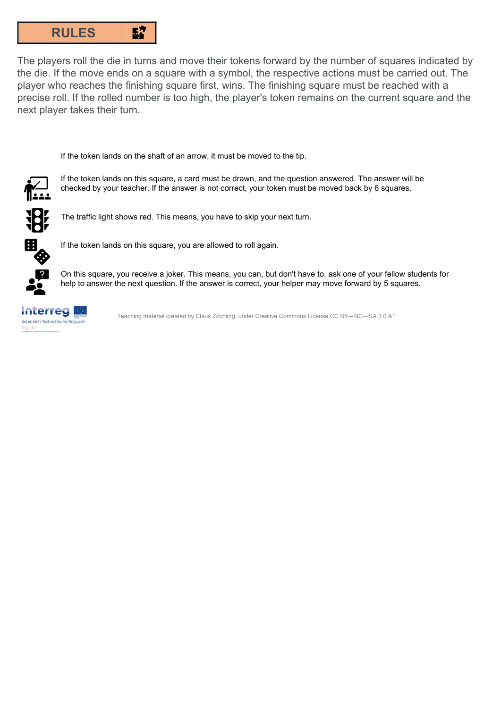

The players roll the die in turns and move their tokens forward by the number of squares indicated by the die. If the move ends on a square with a symbol, the respective actions must be carried out. The player who reaches the finishing square first, wins. The finishing square must be reached with a precise roll. If the rolled number is too high, the player's token remains on the current square and the next player takes their turn.

If the token lands on the shaft of an arrow, it must be moved to the tip.



If the token lands on this square, a card must be drawn, and the question answered. The answer will be checked by your teacher. If the answer is not correct, your token must be moved back by 6 squares.



The traffic light shows red. This means, you have to skip your next turn.



If the token lands on this square, you are allowed to roll again.



On this square, you receive a joker. This means, you can, but don't have to, ask one of your fellow students for help to answer the next question. If the answer is correct, your helper may move forward by 5 squares.



Teaching material created by Claus Zöchling, under Creative Commons License CC BY—NC—SA 3.0 AT